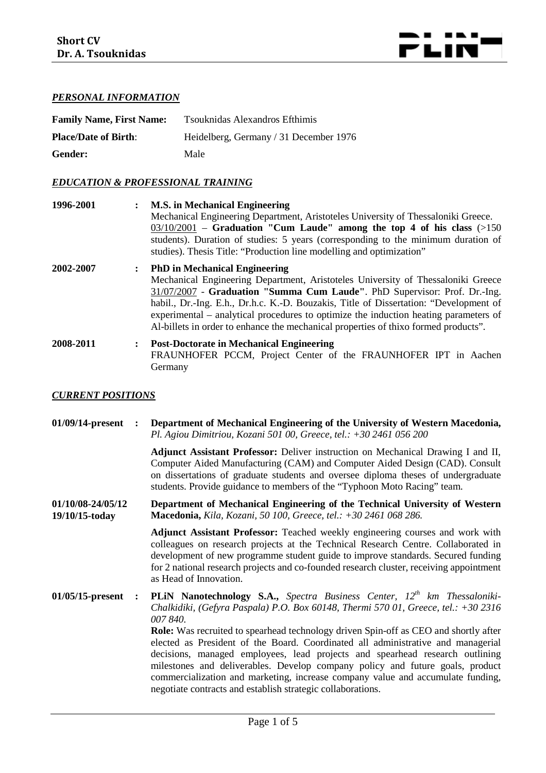

# *PERSONAL INFORMATION*

| <b>Family Name, First Name:</b> | Tsouknidas Alexandros Efthimis         |
|---------------------------------|----------------------------------------|
| <b>Place/Date of Birth:</b>     | Heidelberg, Germany / 31 December 1976 |
| Gender:                         | Male                                   |

## *EDUCATION & PROFESSIONAL TRAINING*

| 1996-2001 |                      | <b>M.S. in Mechanical Engineering</b><br>Mechanical Engineering Department, Aristoteles University of Thessaloniki Greece.<br>$03/10/2001$ – Graduation "Cum Laude" among the top 4 of his class (>150)<br>students). Duration of studies: 5 years (corresponding to the minimum duration of<br>studies). Thesis Title: "Production line modelling and optimization"                                                                                                          |
|-----------|----------------------|-------------------------------------------------------------------------------------------------------------------------------------------------------------------------------------------------------------------------------------------------------------------------------------------------------------------------------------------------------------------------------------------------------------------------------------------------------------------------------|
| 2002-2007 | $\mathbf{r}$         | <b>PhD</b> in Mechanical Engineering<br>Mechanical Engineering Department, Aristoteles University of Thessaloniki Greece<br>31/07/2007 - Graduation "Summa Cum Laude". PhD Supervisor: Prof. Dr.-Ing.<br>habil., Dr.-Ing. E.h., Dr.h.c. K.-D. Bouzakis, Title of Dissertation: "Development of<br>experimental – analytical procedures to optimize the induction heating parameters of<br>Al-billets in order to enhance the mechanical properties of thixo formed products". |
| 2008-2011 | $\ddot{\phantom{a}}$ | <b>Post-Doctorate in Mechanical Engineering</b><br>FRAUNHOFER PCCM, Project Center of the FRAUNHOFER IPT in Aachen<br>Germany                                                                                                                                                                                                                                                                                                                                                 |

#### *CURRENT POSITIONS*

| 01/09/14-present                    | $\ddot{\cdot}$ | Department of Mechanical Engineering of the University of Western Macedonia,<br>Pl. Agiou Dimitriou, Kozani 501 00, Greece, tel.: $+302461056200$                                                                                                                                                                                                                                                                                                                                                                                                                                                                                                                                            |
|-------------------------------------|----------------|----------------------------------------------------------------------------------------------------------------------------------------------------------------------------------------------------------------------------------------------------------------------------------------------------------------------------------------------------------------------------------------------------------------------------------------------------------------------------------------------------------------------------------------------------------------------------------------------------------------------------------------------------------------------------------------------|
|                                     |                | Adjunct Assistant Professor: Deliver instruction on Mechanical Drawing I and II,<br>Computer Aided Manufacturing (CAM) and Computer Aided Design (CAD). Consult<br>on dissertations of graduate students and oversee diploma theses of undergraduate<br>students. Provide guidance to members of the "Typhoon Moto Racing" team.                                                                                                                                                                                                                                                                                                                                                             |
| 01/10/08-24/05/12<br>19/10/15-today |                | Department of Mechanical Engineering of the Technical University of Western<br>Macedonia, Kila, Kozani, 50 100, Greece, tel.: +30 2461 068 286.                                                                                                                                                                                                                                                                                                                                                                                                                                                                                                                                              |
|                                     |                | Adjunct Assistant Professor: Teached weekly engineering courses and work with<br>colleagues on research projects at the Technical Research Centre. Collaborated in<br>development of new programme student guide to improve standards. Secured funding<br>for 2 national research projects and co-founded research cluster, receiving appointment<br>as Head of Innovation.                                                                                                                                                                                                                                                                                                                  |
| $01/05/15$ -present                 | $\ddot{\cdot}$ | PLIN Nanotechnology S.A., Spectra Business Center, 12 <sup>th</sup> km Thessaloniki-<br>Chalkidiki, (Gefyra Paspala) P.O. Box 60148, Thermi 570 01, Greece, tel.: +30 2316<br>007 840.<br><b>Role:</b> Was recruited to spearhead technology driven Spin-off as CEO and shortly after<br>elected as President of the Board. Coordinated all administrative and managerial<br>decisions, managed employees, lead projects and spearhead research outlining<br>milestones and deliverables. Develop company policy and future goals, product<br>commercialization and marketing, increase company value and accumulate funding,<br>negotiate contracts and establish strategic collaborations. |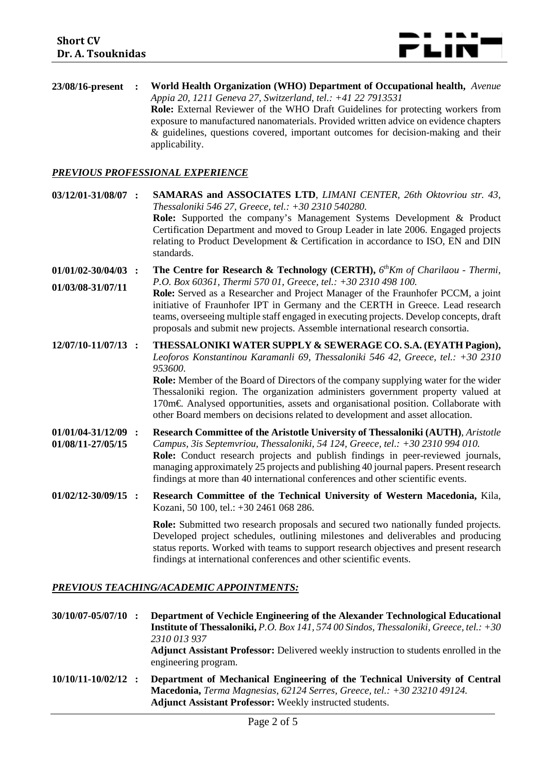

**23/08/16-present : World Health Organization (WHO) Department of Occupational health,** *Avenue Appia 20, 1211 Geneva 27, Switzerland, tel.: +41 22 7913531* **Role:** External Reviewer of the WHO Draft Guidelines for protecting workers from exposure to manufactured nanomaterials. Provided written advice on evidence chapters & guidelines, questions covered, important outcomes for decision-making and their applicability.

#### *PREVIOUS PROFESSIONAL EXPERIENCE*

| 03/12/01-31/08/07 :                          | <b>SAMARAS and ASSOCIATES LTD, LIMANI CENTER, 26th Oktovriou str. 43,</b><br>Thessaloniki 546 27, Greece, tel.: +30 2310 540280.<br><b>Role:</b> Supported the company's Management Systems Development & Product<br>Certification Department and moved to Group Leader in late 2006. Engaged projects<br>relating to Product Development & Certification in accordance to ISO, EN and DIN<br>standards.                                                                                                            |
|----------------------------------------------|---------------------------------------------------------------------------------------------------------------------------------------------------------------------------------------------------------------------------------------------------------------------------------------------------------------------------------------------------------------------------------------------------------------------------------------------------------------------------------------------------------------------|
| $01/01/02 - 30/04/03$ :<br>01/03/08-31/07/11 | The Centre for Research & Technology (CERTH), 6 <sup>th</sup> Km of Charilaou - Thermi,<br>P.O. Box 60361, Thermi 570 01, Greece, tel.: +30 2310 498 100.<br>Role: Served as a Researcher and Project Manager of the Fraunhofer PCCM, a joint<br>initiative of Fraunhofer IPT in Germany and the CERTH in Greece. Lead research<br>teams, overseeing multiple staff engaged in executing projects. Develop concepts, draft<br>proposals and submit new projects. Assemble international research consortia.         |
| 12/07/10-11/07/13 :                          | THESSALONIKI WATER SUPPLY & SEWERAGE CO. S.A. (EYATH Pagion),<br>Leoforos Konstantinou Karamanli 69, Thessaloniki 546 42, Greece, tel.: +30 2310<br>953600.<br><b>Role:</b> Member of the Board of Directors of the company supplying water for the wider<br>Thessaloniki region. The organization administers government property valued at<br>170m€ Analysed opportunities, assets and organisational position. Collaborate with<br>other Board members on decisions related to development and asset allocation. |
| $01/01/04 - 31/12/09$ :<br>01/08/11-27/05/15 | Research Committee of the Aristotle University of Thessaloniki (AUTH), Aristotle<br>Campus, 3is Septemvriou, Thessaloniki, 54 124, Greece, tel.: +30 2310 994 010.<br>Role: Conduct research projects and publish findings in peer-reviewed journals,<br>managing approximately 25 projects and publishing 40 journal papers. Present research<br>findings at more than 40 international conferences and other scientific events.                                                                                   |
| $01/02/12 - 30/09/15$ :                      | Research Committee of the Technical University of Western Macedonia, Kila,<br>Kozani, 50 100, tel.: +30 2461 068 286.                                                                                                                                                                                                                                                                                                                                                                                               |
|                                              | <b>Role:</b> Submitted two research proposals and secured two nationally funded projects.<br>Developed project schedules, outlining milestones and deliverables and producing<br>status reports. Worked with teams to support research objectives and present research<br>findings at international conferences and other scientific events.                                                                                                                                                                        |

#### *PREVIOUS TEACHING/ACADEMIC APPOINTMENTS:*

**30/10/07-05/07/10 : Department of Vechicle Engineering of the Alexander Technological Educational Institute of Thessaloniki,** *P.O. Box 141, 574 00 Sindos, Thessaloniki, Greece, tel.: +30 2310 013 937* **Adjunct Assistant Professor:** Delivered weekly instruction to students enrolled in the engineering program. **10/10/11-10/02/12 : Department of Mechanical Engineering of the Technical University of Central Macedonia,** *Terma Magnesias, 62124 Serres, Greece, tel.: +30 23210 49124.*

**Adjunct Assistant Professor:** Weekly instructed students.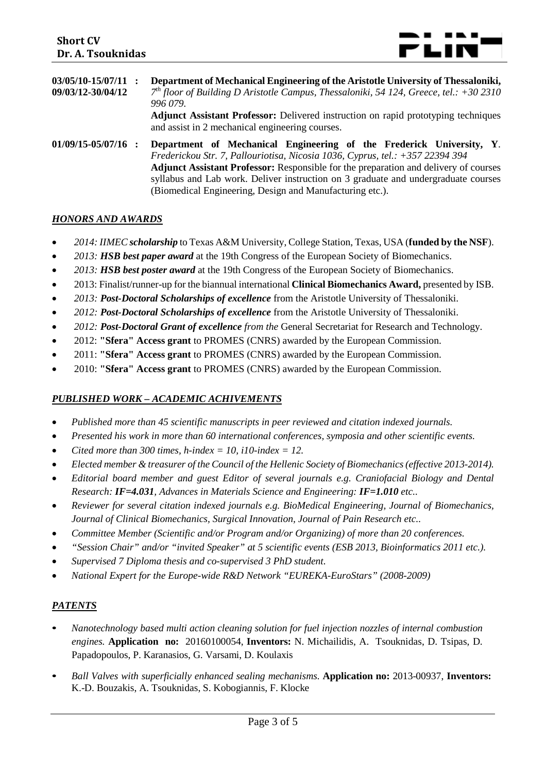

| $03/05/10-15/07/11$ :<br>09/03/12-30/04/12 | Department of Mechanical Engineering of the Aristotle University of Thessaloniki,<br>$7th$ floor of Building D Aristotle Campus, Thessaloniki, 54 124, Greece, tel.: +30 2310<br>996 079.<br><b>Adjunct Assistant Professor:</b> Delivered instruction on rapid prototyping techniques<br>and assist in 2 mechanical engineering courses.                                                              |
|--------------------------------------------|--------------------------------------------------------------------------------------------------------------------------------------------------------------------------------------------------------------------------------------------------------------------------------------------------------------------------------------------------------------------------------------------------------|
| $01/09/15 - 05/07/16$ :                    | Department of Mechanical Engineering of the Frederick University, Y.<br>Frederickou Str. 7, Pallouriotisa, Nicosia 1036, Cyprus, tel.: +357 22394 394<br><b>Adjunct Assistant Professor:</b> Responsible for the preparation and delivery of courses<br>syllabus and Lab work. Deliver instruction on 3 graduate and undergraduate courses<br>(Biomedical Engineering, Design and Manufacturing etc.). |

### *HONORS AND AWARDS*

- *2014: IIMEC scholarship* to Texas A&M University, College Station, Texas, USA (**funded by the NSF**).
- *2013: HSB best paper award* at the 19th Congress of the European Society of Biomechanics.
- *2013: HSB best poster award* at the 19th Congress of the European Society of Biomechanics.
- 2013: Finalist/runner-up for the biannual international **Clinical Biomechanics Award,** presented by ISB.
- *2013: Post-Doctoral Scholarships of excellence* from the Aristotle University of Thessaloniki.
- *2012: Post-Doctoral Scholarships of excellence* from the Aristotle University of Thessaloniki.
- *2012: Post-Doctoral Grant of excellence from the* General Secretariat for Research and Technology.
- 2012: **"Sfera" Access grant** to PROMES (CNRS) awarded by the European Commission.
- 2011: **"Sfera" Access grant** to PROMES (CNRS) awarded by the European Commission.
- 2010: **"Sfera" Access grant** to PROMES (CNRS) awarded by the European Commission.

#### *PUBLISHED WORK – ACADEMIC ACHIVEMENTS*

- *Published more than 45 scientific manuscripts in peer reviewed and citation indexed journals.*
- *Presented his work in more than 60 international conferences, symposia and other scientific events.*
- *Cited more than 300 times, h-index = 10[, i10-index](javascript:void(0)) = 12.*
- *Elected member & treasurer of the Council of the Hellenic Society of Biomechanics (effective 2013-2014).*
- *Editorial board member and guest Editor of several journals e.g. Craniofacial Biology and Dental Research: IF=4.031, Advances in Materials Science and Engineering: IF=1.010 etc..*
- *Reviewer for several citation indexed journals e.g. BioMedical Engineering, Journal of Biomechanics, Journal of Clinical Biomechanics, Surgical Innovation, Journal of Pain Research etc..*
- *Committee Member (Scientific and/or Program and/or Organizing) of more than 20 conferences.*
- *"Session Chair" and/or "invited Speaker" at 5 scientific events (ESB 2013, Bioinformatics 2011 etc.).*
- *Supervised 7 Diploma thesis and co-supervised 3 PhD student.*
- *National Expert for the Europe-wide R&D Network "EUREKA-EuroStars" (2008-2009)*

### *PATENTS*

- *Nanotechnology based multi action cleaning solution for fuel injection nozzles of internal combustion engines.* **Application no:** 20160100054, **Inventors:** N. Michailidis, A. Tsouknidas, D. Tsipas, D. Papadopoulos, P. Karanasios, G. Varsami, D. Koulaxis
- *Ball Valves with superficially enhanced sealing mechanisms.* **Application no:** 2013-00937, **Inventors:** K.-D. Bouzakis, A. Tsouknidas, S. Kobogiannis, F. Klocke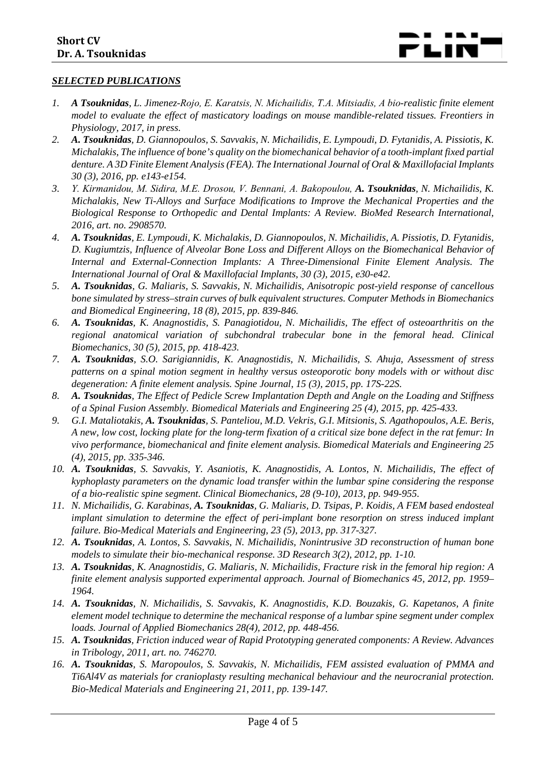#### *SELECTED PUBLICATIONS*

- *1. A Tsouknidas, L. Jimenez-Rojo, E. Karatsis, N. Michailidis, T.A. Mitsiadis, Α bio-realistic finite element model to evaluate the effect of masticatory loadings on mouse mandible-related tissues. Freontiers in Physiology, 2017, in press.*
- *2. A. Tsouknidas, D. Giannopoulos, S. Savvakis, N. Michailidis, E. Lympoudi, D. Fytanidis, A. Pissiotis, K. Michalakis, The influence of bone's quality on the biomechanical behavior of a tooth-implant fixed partial denture. A 3D Finite Element Analysis (FEA). The International Journal of Oral & Maxillofacial Implants 30 (3), 2016, pp. e143-e154.*
- *3. Υ. Kirmanidou, Μ. Sidira, M.Ε. Drosou, V. Bennani, A. Bakopoulou, A. Tsouknidas, N. Michailidis, K. Michalakis, New Ti-Alloys and Surface Modifications to Improve the Mechanical Properties and the Biological Response to Orthopedic and Dental Implants: A Review. BioMed Research International, 2016, art. no. 2908570.*
- *4. A. Tsouknidas, E. Lympoudi, K. Michalakis, D. Giannopoulos, N. Michailidis, A. Pissiotis, D. Fytanidis, D. Kugiumtzis, Influence of Alveolar Bone Loss and Different Alloys on the Biomechanical Behavior of Internal and External-Connection Implants: A Three-Dimensional Finite Element Analysis. The International Journal of Oral & Maxillofacial Implants, 30 (3), 2015, e30-e42.*
- *5. A. Tsouknidas, G. Maliaris, S. Savvakis, N. Michailidis, Anisotropic post-yield response of cancellous bone simulated by stress–strain curves of bulk equivalent structures. Computer Methods in Biomechanics and Biomedical Engineering, 18 (8), 2015, pp. 839-846.*
- *6. A. Tsouknidas, K. Anagnostidis, S. Panagiotidou, N. Michailidis, The effect of osteoarthritis on the regional anatomical variation of subchondral trabecular bone in the femoral head. Clinical Biomechanics, 30 (5), 2015, pp. 418-423.*
- *7. A. Tsouknidas, S.O. Sarigiannidis, K. Anagnostidis, N. Michailidis, S. Ahuja, Assessment of stress patterns on a spinal motion segment in healthy versus osteoporotic bony models with or without disc degeneration: A finite element analysis. Spine Journal, 15 (3), 2015, pp. 17S-22S.*
- *8. A. Tsouknidas, The Effect of Pedicle Screw Implantation Depth and Angle on the Loading and Stiffness of a Spinal Fusion Assembly. Biomedical Materials and Engineering 25 (4), 2015, pp. 425-433.*
- *9. G.I. Mataliotakis, A. Tsouknidas, S. Panteliou, M.D. Vekris, G.I. Mitsionis, S. Agathopoulos, A.E. Beris, A new, low cost, locking plate for the long-term fixation of a critical size bone defect in the rat femur: In vivo performance, biomechanical and finite element analysis. Biomedical Materials and Engineering 25 (4), 2015, pp. 335-346.*
- *10. A. Tsouknidas, S. Savvakis, Y. Asaniotis, K. Anagnostidis, A. Lontos, N. Michailidis, The effect of kyphoplasty parameters on the dynamic load transfer within the lumbar spine considering the response of a bio-realistic spine segment. Clinical Biomechanics, 28 (9-10), 2013, pp. 949-955.*
- *11. N. Michailidis, G. Karabinas, A. Tsouknidas, G. Maliaris, D. Tsipas, P. Koidis, A FEM based endosteal implant simulation to determine the effect of peri-implant bone resorption on stress induced implant failure. Bio-Medical Materials and Engineering, 23 (5), 2013, pp. 317-327.*
- *12. A. Tsouknidas, A. Lontos, S. Savvakis, N. Michailidis, Nonintrusive 3D reconstruction of human bone models to simulate their bio-mechanical response. 3D Research 3(2), 2012, pp. 1-10.*
- *13. A. Tsouknidas, K. Anagnostidis, G. Maliaris, N. Michailidis, Fracture risk in the femoral hip region: A finite element analysis supported experimental approach. Journal of Biomechanics 45, 2012, pp. 1959– 1964.*
- *14. A. Tsouknidas, N. Michailidis, S. Savvakis, K. Anagnostidis, K.D. Bouzakis, G. Kapetanos, A finite element model technique to determine the mechanical response of a lumbar spine segment under complex loads. Journal of Applied Biomechanics 28(4), 2012, pp. 448-456.*
- *15. A. Tsouknidas, Friction induced wear of Rapid Prototyping generated components: A Review. Advances in Tribology, 2011, art. no. 746270.*
- *16. A. Tsouknidas, S. Maropoulos, S. Savvakis, N. Michailidis, FEM assisted evaluation of PMMA and Ti6Al4V as materials for cranioplasty resulting mechanical behaviour and the neurocranial protection. Bio-Medical Materials and Engineering 21, 2011, pp. 139-147.*